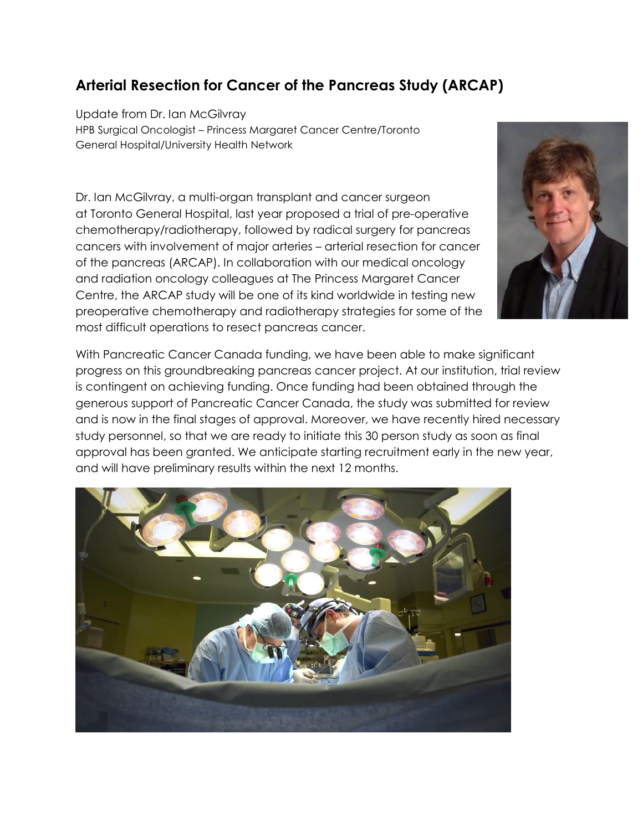## Arterial Resection for Cancer of the Pancreas Study (ARCAP)

Update from Dr. Ian McGilvray HPB Surgical Oncologist – Princess Margaret Cancer Centre/Toronto General Hospital/University Health Network

Dr. Ian McGilvray, a multi-organ transplant and cancer surgeon at Toronto General Hospital, last year proposed a trial of pre-operative chemotherapy/radiotherapy, followed by radical surgery for pancreas cancers with involvement of major arteries – arterial resection for cancer of the pancreas (ARCAP). In collaboration with our medical oncology and radiation oncology colleagues at The Princess Margaret Cancer Centre, the ARCAP study will be one of its kind worldwide in testing new preoperative chemotherapy and radiotherapy strategies for some of the most difficult operations to resect pancreas cancer.

With Pancreatic Cancer Canada funding, we have been able to make significant progress on this groundbreaking pancreas cancer project. At our institution, trial review is contingent on achieving funding. Once funding had been obtained through the generous support of Pancreatic Cancer Canada, the study was submitted for review and is now in the final stages of approval. Moreover, we have recently hired necessary study personnel, so that we are ready to initiate this 30 person study as soon as final approval has been granted. We anticipate starting recruitment early in the new year, and will have preliminary results within the next 12 months.